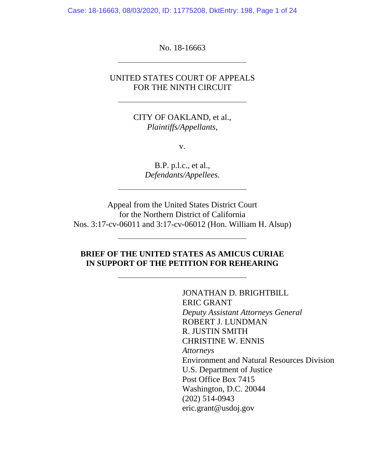Case: 18-16663, 08/03/2020, ID: 11775208, DktEntry: 198, Page 1 of 24

No. 18-16663

ı

 $\overline{a}$ 

## UNITED STATES COURT OF APPEALS FOR THE NINTH CIRCUIT

CITY OF OAKLAND, et al., *Plaintiffs/Appellants,* 

v.

B.P. p.l.c., et al., *Defendants/Appellees.*

Appeal from the United States District Court for the Northern District of California Nos. 3:17-cv-06011 and 3:17-cv-06012 (Hon. William H. Alsup)

## **BRIEF OF THE UNITED STATES AS AMICUS CURIAE IN SUPPORT OF THE PETITION FOR REHEARING**

JONATHAN D. BRIGHTBILL ERIC GRANT *Deputy Assistant Attorneys General*  ROBERT J. LUNDMAN R. JUSTIN SMITH CHRISTINE W. ENNIS *Attorneys*  Environment and Natural Resources Division U.S. Department of Justice Post Office Box 7415 Washington, D.C. 20044 (202) 514-0943 eric.grant@usdoj.gov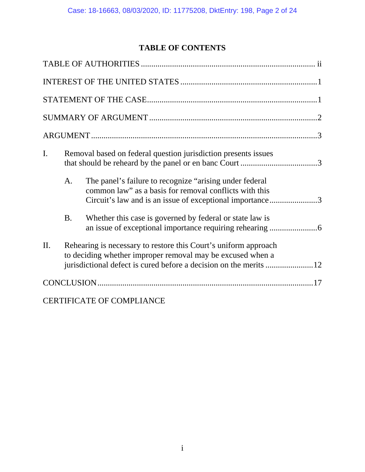# **TABLE OF CONTENTS**

| I.  | Removal based on federal question jurisdiction presents issues                                                                |                                                                                                                                                                                |  |  |
|-----|-------------------------------------------------------------------------------------------------------------------------------|--------------------------------------------------------------------------------------------------------------------------------------------------------------------------------|--|--|
|     | A.                                                                                                                            | The panel's failure to recognize "arising under federal"<br>common law" as a basis for removal conflicts with this<br>Circuit's law and is an issue of exceptional importance3 |  |  |
|     | <b>B.</b>                                                                                                                     | Whether this case is governed by federal or state law is                                                                                                                       |  |  |
| II. | Rehearing is necessary to restore this Court's uniform approach<br>to deciding whether improper removal may be excused when a |                                                                                                                                                                                |  |  |
|     |                                                                                                                               |                                                                                                                                                                                |  |  |
|     |                                                                                                                               | <b>CERTIFICATE OF COMPLIANCE</b>                                                                                                                                               |  |  |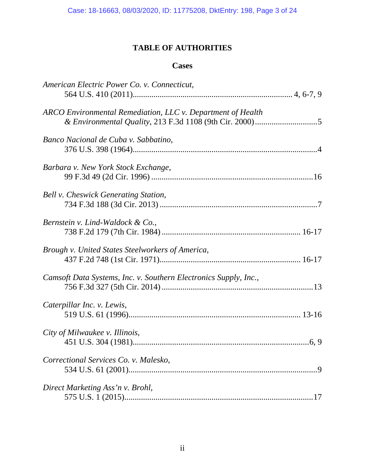# **TABLE OF AUTHORITIES**

## **Cases**

| American Electric Power Co. v. Connecticut,                      |
|------------------------------------------------------------------|
|                                                                  |
| ARCO Environmental Remediation, LLC v. Department of Health      |
| Banco Nacional de Cuba v. Sabbatino,                             |
| Barbara v. New York Stock Exchange,                              |
| Bell v. Cheswick Generating Station,                             |
| Bernstein v. Lind-Waldock & Co.,                                 |
| Brough v. United States Steelworkers of America,                 |
| Camsoft Data Systems, Inc. v. Southern Electronics Supply, Inc., |
| Caterpillar Inc. v. Lewis,                                       |
| City of Milwaukee v. Illinois,                                   |
| Correctional Services Co. v. Malesko,<br>$\overline{Q}$          |
| Direct Marketing Ass'n v. Brohl,                                 |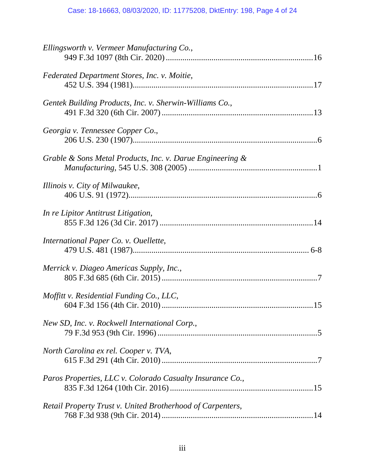# Case: 18-16663, 08/03/2020, ID: 11775208, DktEntry: 198, Page 4 of 24

| Ellingsworth v. Vermeer Manufacturing Co.,                 |
|------------------------------------------------------------|
| Federated Department Stores, Inc. v. Moitie,               |
| Gentek Building Products, Inc. v. Sherwin-Williams Co.,    |
| Georgia v. Tennessee Copper Co.,                           |
| Grable & Sons Metal Products, Inc. v. Darue Engineering &  |
| Illinois v. City of Milwaukee,                             |
| In re Lipitor Antitrust Litigation,                        |
| International Paper Co. v. Ouellette,                      |
| Merrick v. Diageo Americas Supply, Inc.,                   |
| Moffitt v. Residential Funding Co., LLC,                   |
| New SD, Inc. v. Rockwell International Corp.,              |
| North Carolina ex rel. Cooper v. TVA,                      |
| Paros Properties, LLC v. Colorado Casualty Insurance Co.,  |
| Retail Property Trust v. United Brotherhood of Carpenters, |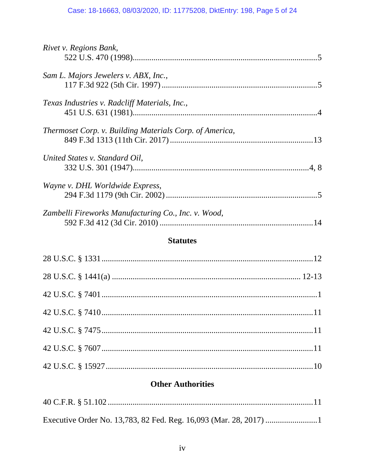# Case: 18-16663, 08/03/2020, ID: 11775208, DktEntry: 198, Page 5 of 24

| Rivet v. Regions Bank,                                  |  |
|---------------------------------------------------------|--|
|                                                         |  |
| Sam L. Majors Jewelers v. ABX, Inc.,                    |  |
|                                                         |  |
| Texas Industries v. Radcliff Materials, Inc.,           |  |
|                                                         |  |
| Thermoset Corp. v. Building Materials Corp. of America, |  |
|                                                         |  |
| United States v. Standard Oil,                          |  |
|                                                         |  |
| Wayne v. DHL Worldwide Express,                         |  |
|                                                         |  |
| Zambelli Fireworks Manufacturing Co., Inc. v. Wood,     |  |
|                                                         |  |
|                                                         |  |

# **Statutes**

# **Other Authorities**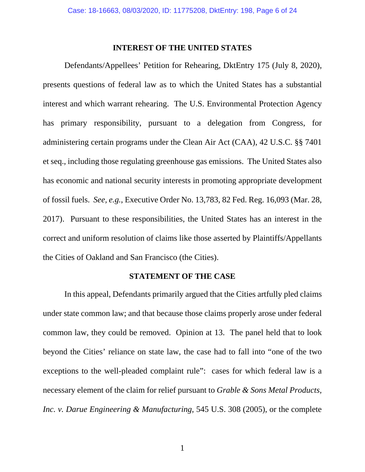#### **INTEREST OF THE UNITED STATES**

 Defendants/Appellees' Petition for Rehearing, DktEntry 175 (July 8, 2020), presents questions of federal law as to which the United States has a substantial interest and which warrant rehearing. The U.S. Environmental Protection Agency has primary responsibility, pursuant to a delegation from Congress, for administering certain programs under the Clean Air Act (CAA), 42 U.S.C. §§ 7401 et seq., including those regulating greenhouse gas emissions. The United States also has economic and national security interests in promoting appropriate development of fossil fuels. *See, e.g.*, Executive Order No. 13,783, 82 Fed. Reg. 16,093 (Mar. 28, 2017). Pursuant to these responsibilities, the United States has an interest in the correct and uniform resolution of claims like those asserted by Plaintiffs/Appellants the Cities of Oakland and San Francisco (the Cities).

### **STATEMENT OF THE CASE**

In this appeal, Defendants primarily argued that the Cities artfully pled claims under state common law; and that because those claims properly arose under federal common law, they could be removed. Opinion at 13. The panel held that to look beyond the Cities' reliance on state law, the case had to fall into "one of the two exceptions to the well-pleaded complaint rule": cases for which federal law is a necessary element of the claim for relief pursuant to *Grable & Sons Metal Products, Inc. v. Darue Engineering & Manufacturing*, 545 U.S. 308 (2005), or the complete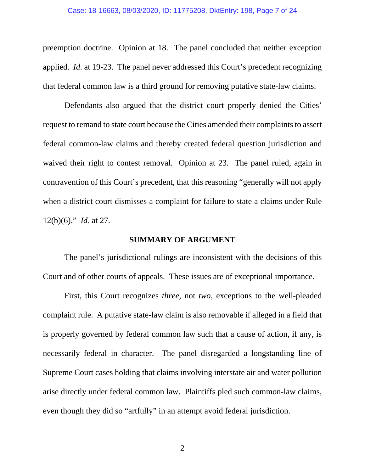#### Case: 18-16663, 08/03/2020, ID: 11775208, DktEntry: 198, Page 7 of 24

preemption doctrine. Opinion at 18. The panel concluded that neither exception applied. *Id.* at 19-23. The panel never addressed this Court's precedent recognizing that federal common law is a third ground for removing putative state-law claims.

Defendants also argued that the district court properly denied the Cities' request to remand to state court because the Cities amended their complaints to assert federal common-law claims and thereby created federal question jurisdiction and waived their right to contest removal. Opinion at 23. The panel ruled, again in contravention of this Court's precedent, that this reasoning "generally will not apply when a district court dismisses a complaint for failure to state a claims under Rule 12(b)(6)." *Id*. at 27.

### **SUMMARY OF ARGUMENT**

 The panel's jurisdictional rulings are inconsistent with the decisions of this Court and of other courts of appeals. These issues are of exceptional importance.

 First, this Court recognizes *three*, not *two*, exceptions to the well-pleaded complaint rule. A putative state-law claim is also removable if alleged in a field that is properly governed by federal common law such that a cause of action, if any, is necessarily federal in character. The panel disregarded a longstanding line of Supreme Court cases holding that claims involving interstate air and water pollution arise directly under federal common law. Plaintiffs pled such common-law claims, even though they did so "artfully" in an attempt avoid federal jurisdiction.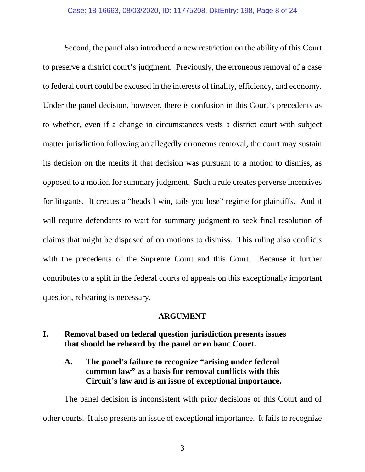Second, the panel also introduced a new restriction on the ability of this Court to preserve a district court's judgment. Previously, the erroneous removal of a case to federal court could be excused in the interests of finality, efficiency, and economy. Under the panel decision, however, there is confusion in this Court's precedents as to whether, even if a change in circumstances vests a district court with subject matter jurisdiction following an allegedly erroneous removal, the court may sustain its decision on the merits if that decision was pursuant to a motion to dismiss, as opposed to a motion for summary judgment. Such a rule creates perverse incentives for litigants. It creates a "heads I win, tails you lose" regime for plaintiffs. And it will require defendants to wait for summary judgment to seek final resolution of claims that might be disposed of on motions to dismiss. This ruling also conflicts with the precedents of the Supreme Court and this Court. Because it further contributes to a split in the federal courts of appeals on this exceptionally important question, rehearing is necessary.

### **ARGUMENT**

## **I. Removal based on federal question jurisdiction presents issues that should be reheard by the panel or en banc Court.**

## **A. The panel's failure to recognize "arising under federal common law" as a basis for removal conflicts with this Circuit's law and is an issue of exceptional importance.**

The panel decision is inconsistent with prior decisions of this Court and of other courts. It also presents an issue of exceptional importance. It fails to recognize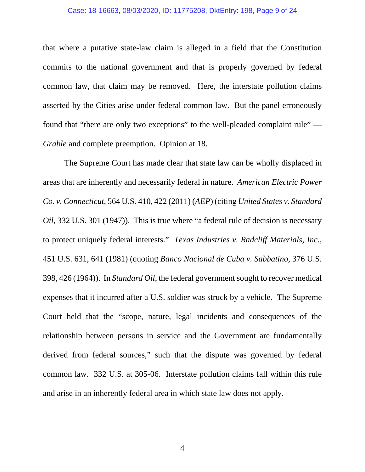#### Case: 18-16663, 08/03/2020, ID: 11775208, DktEntry: 198, Page 9 of 24

that where a putative state-law claim is alleged in a field that the Constitution commits to the national government and that is properly governed by federal common law, that claim may be removed. Here, the interstate pollution claims asserted by the Cities arise under federal common law. But the panel erroneously found that "there are only two exceptions" to the well-pleaded complaint rule" — *Grable* and complete preemption. Opinion at 18.

The Supreme Court has made clear that state law can be wholly displaced in areas that are inherently and necessarily federal in nature. *American Electric Power Co. v. Connecticut*, 564 U.S. 410, 422 (2011) (*AEP*) (citing *United States v. Standard Oil*, 332 U.S. 301 (1947)). This is true where "a federal rule of decision is necessary to protect uniquely federal interests." *Texas Industries v. Radcliff Materials, Inc.*, 451 U.S. 631, 641 (1981) (quoting *Banco Nacional de Cuba v. Sabbatino,* 376 U.S. 398, 426 (1964)). In *Standard Oil*, the federal government sought to recover medical expenses that it incurred after a U.S. soldier was struck by a vehicle. The Supreme Court held that the "scope, nature, legal incidents and consequences of the relationship between persons in service and the Government are fundamentally derived from federal sources," such that the dispute was governed by federal common law. 332 U.S. at 305-06. Interstate pollution claims fall within this rule and arise in an inherently federal area in which state law does not apply.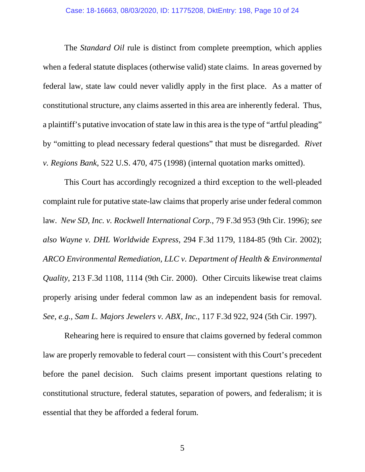The *Standard Oil* rule is distinct from complete preemption, which applies when a federal statute displaces (otherwise valid) state claims. In areas governed by federal law, state law could never validly apply in the first place. As a matter of constitutional structure, any claims asserted in this area are inherently federal. Thus, a plaintiff's putative invocation of state law in this area is the type of "artful pleading" by "omitting to plead necessary federal questions" that must be disregarded. *Rivet v. Regions Bank*, 522 U.S. 470, 475 (1998) (internal quotation marks omitted).

This Court has accordingly recognized a third exception to the well-pleaded complaint rule for putative state-law claims that properly arise under federal common law. *New SD, Inc. v. Rockwell International Corp.*, 79 F.3d 953 (9th Cir. 1996); *see also Wayne v. DHL Worldwide Express*, 294 F.3d 1179, 1184-85 (9th Cir. 2002); *ARCO Environmental Remediation, LLC v. Department of Health & Environmental Quality*, 213 F.3d 1108, 1114 (9th Cir. 2000). Other Circuits likewise treat claims properly arising under federal common law as an independent basis for removal. *See, e.g., Sam L. Majors Jewelers v. ABX, Inc.*, 117 F.3d 922, 924 (5th Cir. 1997).

Rehearing here is required to ensure that claims governed by federal common law are properly removable to federal court — consistent with this Court's precedent before the panel decision. Such claims present important questions relating to constitutional structure, federal statutes, separation of powers, and federalism; it is essential that they be afforded a federal forum.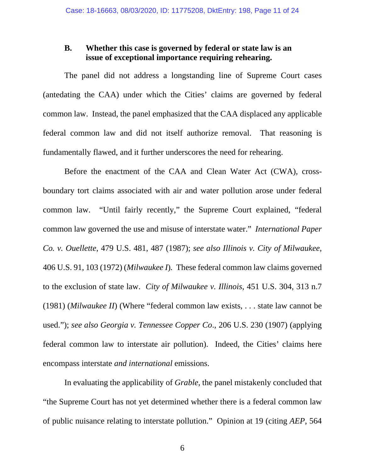## **B. Whether this case is governed by federal or state law is an issue of exceptional importance requiring rehearing.**

The panel did not address a longstanding line of Supreme Court cases (antedating the CAA) under which the Cities' claims are governed by federal common law. Instead, the panel emphasized that the CAA displaced any applicable federal common law and did not itself authorize removal. That reasoning is fundamentally flawed, and it further underscores the need for rehearing.

Before the enactment of the CAA and Clean Water Act (CWA), crossboundary tort claims associated with air and water pollution arose under federal common law. "Until fairly recently," the Supreme Court explained, "federal common law governed the use and misuse of interstate water." *International Paper Co. v. Ouellette*, 479 U.S. 481, 487 (1987); *see also Illinois v. City of Milwaukee*, 406 U.S. 91, 103 (1972) (*Milwaukee I*)*.* These federal common law claims governed to the exclusion of state law. *City of Milwaukee v. Illinois*, 451 U.S. 304, 313 n.7 (1981) (*Milwaukee II*) (Where "federal common law exists, . . . state law cannot be used."); *see also Georgia v. Tennessee Copper Co*., 206 U.S. 230 (1907) (applying federal common law to interstate air pollution). Indeed, the Cities' claims here encompass interstate *and international* emissions.

In evaluating the applicability of *Grable*, the panel mistakenly concluded that "the Supreme Court has not yet determined whether there is a federal common law of public nuisance relating to interstate pollution." Opinion at 19 (citing *AEP*, 564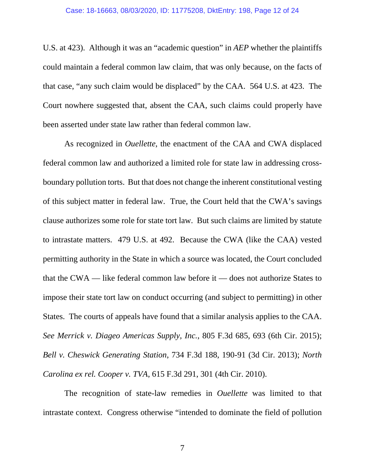U.S. at 423). Although it was an "academic question" in *AEP* whether the plaintiffs could maintain a federal common law claim, that was only because, on the facts of that case, "any such claim would be displaced" by the CAA. 564 U.S. at 423. The Court nowhere suggested that, absent the CAA, such claims could properly have been asserted under state law rather than federal common law.

As recognized in *Ouellette*, the enactment of the CAA and CWA displaced federal common law and authorized a limited role for state law in addressing crossboundary pollution torts. But that does not change the inherent constitutional vesting of this subject matter in federal law. True, the Court held that the CWA's savings clause authorizes some role for state tort law. But such claims are limited by statute to intrastate matters. 479 U.S. at 492. Because the CWA (like the CAA) vested permitting authority in the State in which a source was located, the Court concluded that the CWA — like federal common law before it — does not authorize States to impose their state tort law on conduct occurring (and subject to permitting) in other States. The courts of appeals have found that a similar analysis applies to the CAA. *See Merrick v. Diageo Americas Supply, Inc.*, 805 F.3d 685, 693 (6th Cir. 2015); *Bell v. Cheswick Generating Station*, 734 F.3d 188, 190-91 (3d Cir. 2013); *North Carolina ex rel. Cooper v. TVA*, 615 F.3d 291, 301 (4th Cir. 2010).

The recognition of state-law remedies in *Ouellette* was limited to that intrastate context. Congress otherwise "intended to dominate the field of pollution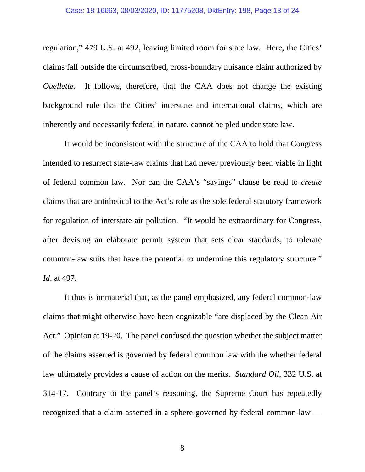regulation," 479 U.S. at 492, leaving limited room for state law. Here, the Cities' claims fall outside the circumscribed, cross-boundary nuisance claim authorized by *Ouellette*. It follows, therefore, that the CAA does not change the existing background rule that the Cities' interstate and international claims, which are inherently and necessarily federal in nature, cannot be pled under state law.

It would be inconsistent with the structure of the CAA to hold that Congress intended to resurrect state-law claims that had never previously been viable in light of federal common law. Nor can the CAA's "savings" clause be read to *create* claims that are antithetical to the Act's role as the sole federal statutory framework for regulation of interstate air pollution. "It would be extraordinary for Congress, after devising an elaborate permit system that sets clear standards, to tolerate common-law suits that have the potential to undermine this regulatory structure." *Id*. at 497*.*

It thus is immaterial that, as the panel emphasized, any federal common-law claims that might otherwise have been cognizable "are displaced by the Clean Air Act." Opinion at 19-20. The panel confused the question whether the subject matter of the claims asserted is governed by federal common law with the whether federal law ultimately provides a cause of action on the merits. *Standard Oil*, 332 U.S. at 314-17. Contrary to the panel's reasoning, the Supreme Court has repeatedly recognized that a claim asserted in a sphere governed by federal common law —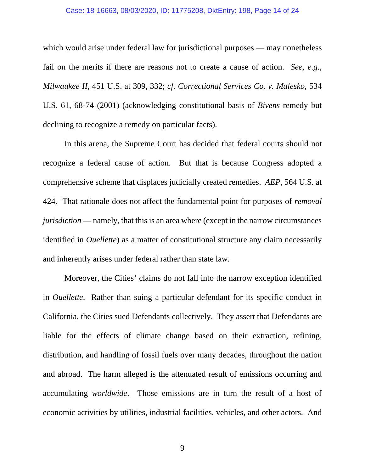#### Case: 18-16663, 08/03/2020, ID: 11775208, DktEntry: 198, Page 14 of 24

which would arise under federal law for jurisdictional purposes — may nonetheless fail on the merits if there are reasons not to create a cause of action. *See, e.g.*, *Milwaukee II*, 451 U.S. at 309, 332; *cf. Correctional Services Co. v. Malesko*, 534 U.S. 61, 68-74 (2001) (acknowledging constitutional basis of *Bivens* remedy but declining to recognize a remedy on particular facts).

In this arena, the Supreme Court has decided that federal courts should not recognize a federal cause of action. But that is because Congress adopted a comprehensive scheme that displaces judicially created remedies. *AEP*, 564 U.S. at 424. That rationale does not affect the fundamental point for purposes of *removal jurisdiction* — namely, that this is an area where (except in the narrow circumstances identified in *Ouellette*) as a matter of constitutional structure any claim necessarily and inherently arises under federal rather than state law.

Moreover, the Cities' claims do not fall into the narrow exception identified in *Ouellette*. Rather than suing a particular defendant for its specific conduct in California, the Cities sued Defendants collectively. They assert that Defendants are liable for the effects of climate change based on their extraction, refining, distribution, and handling of fossil fuels over many decades, throughout the nation and abroad. The harm alleged is the attenuated result of emissions occurring and accumulating *worldwide*. Those emissions are in turn the result of a host of economic activities by utilities, industrial facilities, vehicles, and other actors. And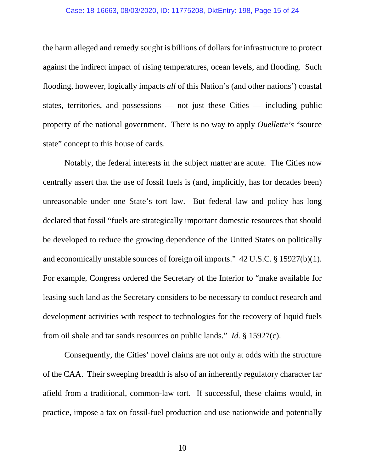#### Case: 18-16663, 08/03/2020, ID: 11775208, DktEntry: 198, Page 15 of 24

the harm alleged and remedy sought is billions of dollars for infrastructure to protect against the indirect impact of rising temperatures, ocean levels, and flooding. Such flooding, however, logically impacts *all* of this Nation's (and other nations') coastal states, territories, and possessions — not just these Cities — including public property of the national government. There is no way to apply *Ouellette's* "source state" concept to this house of cards.

Notably, the federal interests in the subject matter are acute. The Cities now centrally assert that the use of fossil fuels is (and, implicitly, has for decades been) unreasonable under one State's tort law. But federal law and policy has long declared that fossil "fuels are strategically important domestic resources that should be developed to reduce the growing dependence of the United States on politically and economically unstable sources of foreign oil imports." 42 U.S.C. § 15927(b)(1). For example, Congress ordered the Secretary of the Interior to "make available for leasing such land as the Secretary considers to be necessary to conduct research and development activities with respect to technologies for the recovery of liquid fuels from oil shale and tar sands resources on public lands." *Id.* § 15927(c).

 Consequently, the Cities' novel claims are not only at odds with the structure of the CAA. Their sweeping breadth is also of an inherently regulatory character far afield from a traditional, common-law tort. If successful, these claims would, in practice, impose a tax on fossil-fuel production and use nationwide and potentially

10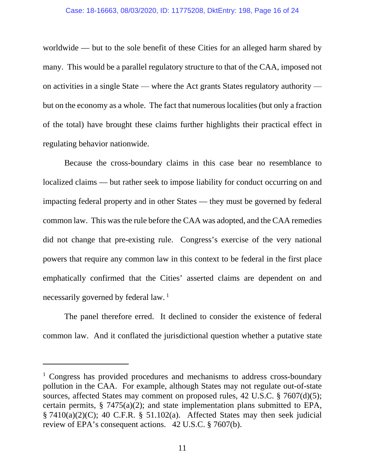worldwide — but to the sole benefit of these Cities for an alleged harm shared by many. This would be a parallel regulatory structure to that of the CAA, imposed not on activities in a single State — where the Act grants States regulatory authority but on the economy as a whole. The fact that numerous localities (but only a fraction of the total) have brought these claims further highlights their practical effect in regulating behavior nationwide.

 Because the cross-boundary claims in this case bear no resemblance to localized claims — but rather seek to impose liability for conduct occurring on and impacting federal property and in other States — they must be governed by federal common law. This was the rule before the CAA was adopted, and the CAA remedies did not change that pre-existing rule. Congress's exercise of the very national powers that require any common law in this context to be federal in the first place emphatically confirmed that the Cities' asserted claims are dependent on and necessarily governed by federal law. 1

The panel therefore erred. It declined to consider the existence of federal common law. And it conflated the jurisdictional question whether a putative state

 $\overline{a}$ 

<sup>&</sup>lt;sup>1</sup> Congress has provided procedures and mechanisms to address cross-boundary pollution in the CAA. For example, although States may not regulate out-of-state sources, affected States may comment on proposed rules, 42 U.S.C. § 7607(d)(5); certain permits, § 7475(a)(2); and state implementation plans submitted to EPA,  $\S$  7410(a)(2)(C); 40 C.F.R.  $\S$  51.102(a). Affected States may then seek judicial review of EPA's consequent actions. 42 U.S.C. § 7607(b).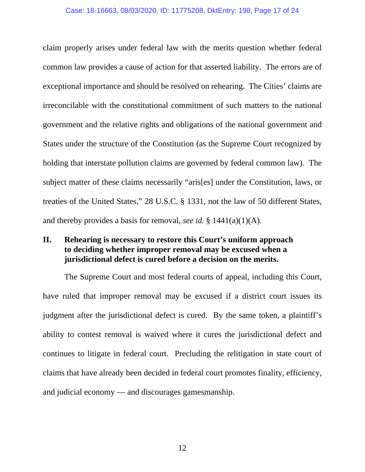#### Case: 18-16663, 08/03/2020, ID: 11775208, DktEntry: 198, Page 17 of 24

claim properly arises under federal law with the merits question whether federal common law provides a cause of action for that asserted liability. The errors are of exceptional importance and should be resolved on rehearing. The Cities' claims are irreconcilable with the constitutional commitment of such matters to the national government and the relative rights and obligations of the national government and States under the structure of the Constitution (as the Supreme Court recognized by holding that interstate pollution claims are governed by federal common law). The subject matter of these claims necessarily "aris[es] under the Constitution, laws, or treaties of the United States," 28 U.S.C. § 1331, not the law of 50 different States, and thereby provides a basis for removal, *see id.* § 1441(a)(1)(A).

## **II. Rehearing is necessary to restore this Court's uniform approach to deciding whether improper removal may be excused when a jurisdictional defect is cured before a decision on the merits.**

The Supreme Court and most federal courts of appeal, including this Court, have ruled that improper removal may be excused if a district court issues its judgment after the jurisdictional defect is cured. By the same token, a plaintiff's ability to contest removal is waived where it cures the jurisdictional defect and continues to litigate in federal court. Precluding the relitigation in state court of claims that have already been decided in federal court promotes finality, efficiency, and judicial economy — and discourages gamesmanship.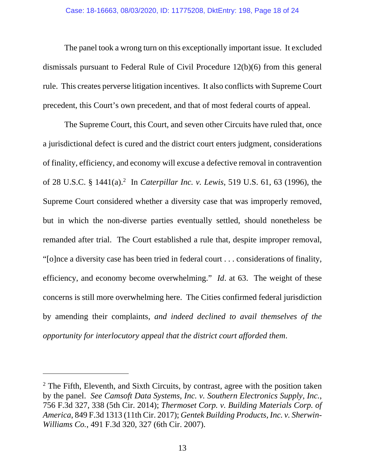The panel took a wrong turn on this exceptionally important issue. It excluded dismissals pursuant to Federal Rule of Civil Procedure 12(b)(6) from this general rule. This creates perverse litigation incentives. It also conflicts with Supreme Court precedent, this Court's own precedent, and that of most federal courts of appeal.

The Supreme Court, this Court, and seven other Circuits have ruled that, once a jurisdictional defect is cured and the district court enters judgment, considerations of finality, efficiency, and economy will excuse a defective removal in contravention of 28 U.S.C. § 1441(a).<sup>2</sup> In *Caterpillar Inc. v. Lewis*, 519 U.S. 61, 63 (1996), the Supreme Court considered whether a diversity case that was improperly removed, but in which the non-diverse parties eventually settled, should nonetheless be remanded after trial. The Court established a rule that, despite improper removal, "[o]nce a diversity case has been tried in federal court . . . considerations of finality, efficiency, and economy become overwhelming." *Id*. at 63. The weight of these concerns is still more overwhelming here. The Cities confirmed federal jurisdiction by amending their complaints, *and indeed declined to avail themselves of the opportunity for interlocutory appeal that the district court afforded them*.

 $\overline{a}$ 

 $2$  The Fifth, Eleventh, and Sixth Circuits, by contrast, agree with the position taken by the panel. *See Camsoft Data Systems, Inc. v. Southern Electronics Supply, Inc.*, 756 F.3d 327, 338 (5th Cir. 2014); *Thermoset Corp. v. Building Materials Corp. of America*, 849 F.3d 1313 (11th Cir. 2017); *Gentek Building Products, Inc. v. Sherwin-Williams Co.*, 491 F.3d 320, 327 (6th Cir. 2007).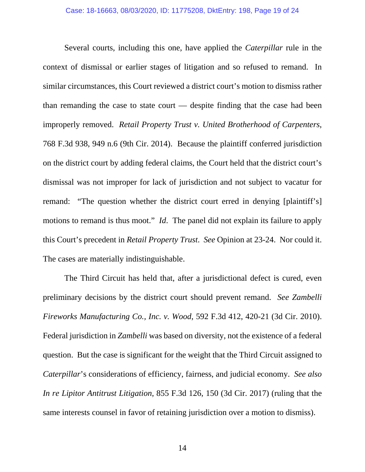Several courts, including this one, have applied the *Caterpillar* rule in the context of dismissal or earlier stages of litigation and so refused to remand. In similar circumstances, this Court reviewed a district court's motion to dismiss rather than remanding the case to state court — despite finding that the case had been improperly removed. *Retail Property Trust v. United Brotherhood of Carpenters*, 768 F.3d 938, 949 n.6 (9th Cir. 2014). Because the plaintiff conferred jurisdiction on the district court by adding federal claims, the Court held that the district court's dismissal was not improper for lack of jurisdiction and not subject to vacatur for remand: "The question whether the district court erred in denying [plaintiff's] motions to remand is thus moot." *Id*. The panel did not explain its failure to apply this Court's precedent in *Retail Property Trust*. *See* Opinion at 23-24. Nor could it. The cases are materially indistinguishable.

The Third Circuit has held that, after a jurisdictional defect is cured, even preliminary decisions by the district court should prevent remand. *See Zambelli Fireworks Manufacturing Co., Inc. v. Wood*, 592 F.3d 412, 420-21 (3d Cir. 2010). Federal jurisdiction in *Zambelli* was based on diversity, not the existence of a federal question. But the case is significant for the weight that the Third Circuit assigned to *Caterpillar*'s considerations of efficiency, fairness, and judicial economy. *See also In re Lipitor Antitrust Litigation*, 855 F.3d 126, 150 (3d Cir. 2017) (ruling that the same interests counsel in favor of retaining jurisdiction over a motion to dismiss).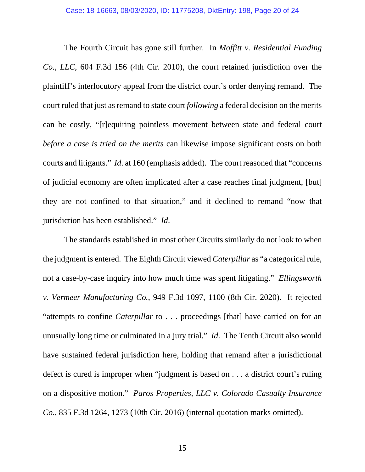The Fourth Circuit has gone still further. In *Moffitt v. Residential Funding Co., LLC*, 604 F.3d 156 (4th Cir. 2010), the court retained jurisdiction over the plaintiff's interlocutory appeal from the district court's order denying remand. The court ruled that just as remand to state court *following* a federal decision on the merits can be costly, "[r]equiring pointless movement between state and federal court *before a case is tried on the merits* can likewise impose significant costs on both courts and litigants." *Id*. at 160 (emphasis added). The court reasoned that "concerns of judicial economy are often implicated after a case reaches final judgment, [but] they are not confined to that situation," and it declined to remand "now that jurisdiction has been established." *Id*.

The standards established in most other Circuits similarly do not look to when the judgment is entered. The Eighth Circuit viewed *Caterpillar* as "a categorical rule, not a case-by-case inquiry into how much time was spent litigating." *Ellingsworth v. Vermeer Manufacturing Co.*, 949 F.3d 1097, 1100 (8th Cir. 2020). It rejected "attempts to confine *Caterpillar* to . . . proceedings [that] have carried on for an unusually long time or culminated in a jury trial." *Id*. The Tenth Circuit also would have sustained federal jurisdiction here, holding that remand after a jurisdictional defect is cured is improper when "judgment is based on . . . a district court's ruling on a dispositive motion." *Paros Properties, LLC v. Colorado Casualty Insurance Co.*, 835 F.3d 1264, 1273 (10th Cir. 2016) (internal quotation marks omitted).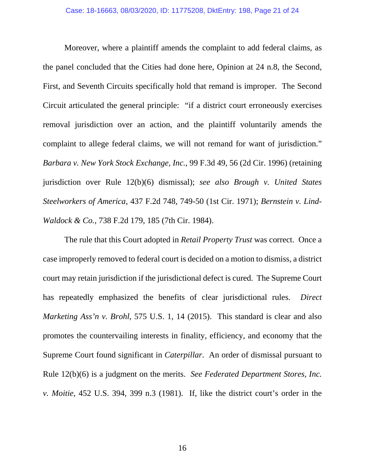Moreover, where a plaintiff amends the complaint to add federal claims, as the panel concluded that the Cities had done here, Opinion at 24 n.8, the Second, First, and Seventh Circuits specifically hold that remand is improper. The Second Circuit articulated the general principle: "if a district court erroneously exercises removal jurisdiction over an action, and the plaintiff voluntarily amends the complaint to allege federal claims, we will not remand for want of jurisdiction." *Barbara v. New York Stock Exchange, Inc.*, 99 F.3d 49, 56 (2d Cir. 1996) (retaining jurisdiction over Rule 12(b)(6) dismissal); *see also Brough v. United States Steelworkers of America*, 437 F.2d 748, 749-50 (1st Cir. 1971); *Bernstein v. Lind-Waldock & Co.*, 738 F.2d 179, 185 (7th Cir. 1984).

The rule that this Court adopted in *Retail Property Trust* was correct. Once a case improperly removed to federal court is decided on a motion to dismiss, a district court may retain jurisdiction if the jurisdictional defect is cured. The Supreme Court has repeatedly emphasized the benefits of clear jurisdictional rules. *Direct Marketing Ass'n v. Brohl*, 575 U.S. 1, 14 (2015). This standard is clear and also promotes the countervailing interests in finality, efficiency, and economy that the Supreme Court found significant in *Caterpillar*. An order of dismissal pursuant to Rule 12(b)(6) is a judgment on the merits. *See Federated Department Stores, Inc. v. Moitie*, 452 U.S. 394, 399 n.3 (1981). If, like the district court's order in the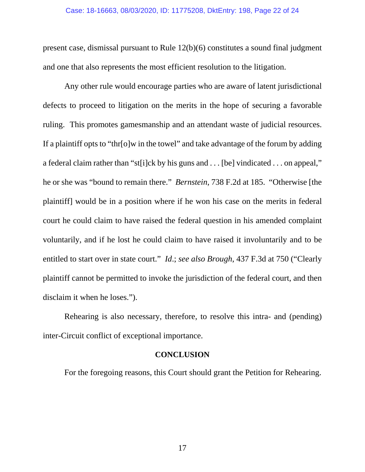present case, dismissal pursuant to Rule 12(b)(6) constitutes a sound final judgment and one that also represents the most efficient resolution to the litigation.

Any other rule would encourage parties who are aware of latent jurisdictional defects to proceed to litigation on the merits in the hope of securing a favorable ruling. This promotes gamesmanship and an attendant waste of judicial resources. If a plaintiff opts to "thr[o]w in the towel" and take advantage of the forum by adding a federal claim rather than "st[i]ck by his guns and . . . [be] vindicated . . . on appeal," he or she was "bound to remain there." *Bernstein*, 738 F.2d at 185. "Otherwise [the plaintiff] would be in a position where if he won his case on the merits in federal court he could claim to have raised the federal question in his amended complaint voluntarily, and if he lost he could claim to have raised it involuntarily and to be entitled to start over in state court." *Id*.; *see also Brough*, 437 F.3d at 750 ("Clearly plaintiff cannot be permitted to invoke the jurisdiction of the federal court, and then disclaim it when he loses.").

Rehearing is also necessary, therefore, to resolve this intra- and (pending) inter-Circuit conflict of exceptional importance.

### **CONCLUSION**

For the foregoing reasons, this Court should grant the Petition for Rehearing.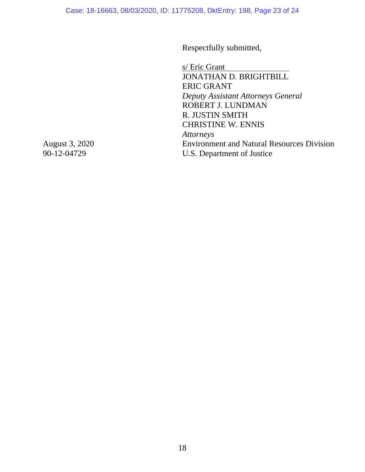Respectfully submitted,

s/ Eric Grant JONATHAN D. BRIGHTBILL ERIC GRANT *Deputy Assistant Attorneys General*  ROBERT J. LUNDMAN R. JUSTIN SMITH CHRISTINE W. ENNIS *Attorneys*  Environment and Natural Resources Division U.S. Department of Justice

August 3, 2020 90-12-04729